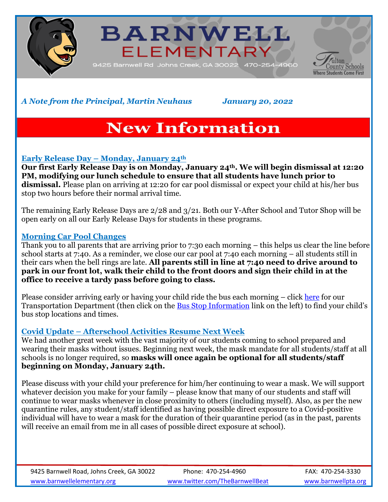





*A Note from the Principal, Martin Neuhaus January 20, 2022*

# **New Information**

## **Early Release Day – Monday, January 24th**

**Our first Early Release Day is on Monday, January 24th. We will begin dismissal at 12:20 PM, modifying our lunch schedule to ensure that all students have lunch prior to dismissal.** Please plan on arriving at 12:20 for car pool dismissal or expect your child at his/her bus stop two hours before their normal arrival time.

The remaining Early Release Days are 2/28 and 3/21. Both our Y-After School and Tutor Shop will be open early on all our Early Release Days for students in these programs.

## **Morning Car Pool Changes**

Thank you to all parents that are arriving prior to 7:30 each morning – this helps us clear the line before school starts at 7:40. As a reminder, we close our car pool at 7:40 each morning – all students still in their cars when the bell rings are late. **All parents still in line at 7:40 need to drive around to park in our front lot, walk their child to the front doors and sign their child in at the office to receive a tardy pass before going to class.**

Please consider arriving early or having your child ride the bus each morning – click [here](https://www.fultonschools.org/transportation) for our Transportation Department (then click on the [Bus Stop Information](https://edulogweb.fultonschools.org/livewq/webquery/) link on the left) to find your child's bus stop locations and times.

## **Covid Update – Afterschool Activities Resume Next Week**

We had another great week with the vast majority of our students coming to school prepared and wearing their masks without issues. Beginning next week, the mask mandate for all students/staff at all schools is no longer required, so **masks will once again be optional for all students/staff beginning on Monday, January 24th.**

Please discuss with your child your preference for him/her continuing to wear a mask. We will support whatever decision you make for your family – please know that many of our students and staff will continue to wear masks whenever in close proximity to others (including myself). Also, as per the new quarantine rules, any student/staff identified as having possible direct exposure to a Covid-positive individual will have to wear a mask for the duration of their quarantine period (as in the past, parents will receive an email from me in all cases of possible direct exposure at school).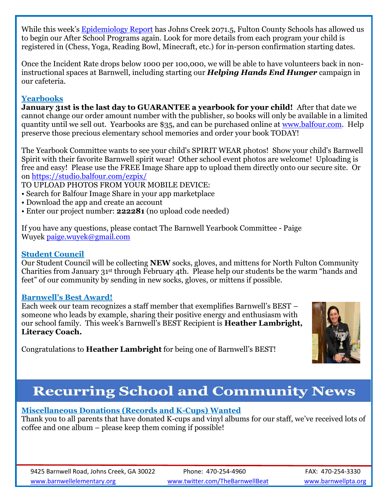While this week's [Epidemiology Report](https://www.fultoncountyga.gov/covid-19/epidemiology-reports) has Johns Creek 2071.5, Fulton County Schools has allowed us to begin our After School Programs again. Look for more details from each program your child is registered in (Chess, Yoga, Reading Bowl, Minecraft, etc.) for in-person confirmation starting dates.

Once the Incident Rate drops below 1000 per 100,000, we will be able to have volunteers back in noninstructional spaces at Barnwell, including starting our *Helping Hands End Hunger* campaign in our cafeteria.

## **Yearbooks**

**January 31st is the last day to GUARANTEE a yearbook for your child!** After that date we cannot change our order amount number with the publisher, so books will only be available in a limited quantity until we sell out. Yearbooks are \$35, and can be purchased online at [www.balfour.com.](https://nam11.safelinks.protection.outlook.com/?url=http%3A%2F%2Fwww.balfour.com%2F&data=04%7C01%7Cagertons%40fultonschools.org%7C5a33531b2aed445cb65008d9da93d2fa%7C0cdcb19881694b70ba9fda7e3ba700c2%7C1%7C0%7C637781152625775464%7CUnknown%7CTWFpbGZsb3d8eyJWIjoiMC4wLjAwMDAiLCJQIjoiV2luMzIiLCJBTiI6Ik1haWwiLCJXVCI6Mn0%3D%7C3000&sdata=WDMexmcswwCWLS7sstSjwHr7Sma5meDByomer6l4MM8%3D&reserved=0) Help preserve those precious elementary school memories and order your book TODAY!

The Yearbook Committee wants to see your child's SPIRIT WEAR photos! Show your child's Barnwell Spirit with their favorite Barnwell spirit wear! Other school event photos are welcome! Uploading is free and easy! Please use the FREE Image Share app to upload them directly onto our secure site. Or on [https://studio.balfour.com/ezpix/](https://nam11.safelinks.protection.outlook.com/?url=https%3A%2F%2Fstudio.balfour.com%2Fezpix%2F&data=04%7C01%7Cagertons%40fultonschools.org%7C5a33531b2aed445cb65008d9da93d2fa%7C0cdcb19881694b70ba9fda7e3ba700c2%7C1%7C0%7C637781152625775464%7CUnknown%7CTWFpbGZsb3d8eyJWIjoiMC4wLjAwMDAiLCJQIjoiV2luMzIiLCJBTiI6Ik1haWwiLCJXVCI6Mn0%3D%7C3000&sdata=6fEhZqJMmATar9lLQa0Mo%2Fi%2FEPQRl5GRkiR14ZbGHoU%3D&reserved=0) 

TO UPLOAD PHOTOS FROM YOUR MOBILE DEVICE:

- Search for Balfour Image Share in your app marketplace
- Download the app and create an account
- Enter our project number: **222281** (no upload code needed)

If you have any questions, please contact The Barnwell Yearbook Committee - Paige Wuyek [paige.wuyek@gmail.com](mailto:paige.wuyek@gmail.com)

### **Student Council**

Our Student Council will be collecting **NEW** socks, gloves, and mittens for North Fulton Community Charities from January 31st through February 4th. Please help our students be the warm "hands and feet" of our community by sending in new socks, gloves, or mittens if possible.

### **Barnwell's Best Award!**

Each week our team recognizes a staff member that exemplifies Barnwell's BEST – someone who leads by example, sharing their positive energy and enthusiasm with our school family. This week's Barnwell's BEST Recipient is **Heather Lambright, Literacy Coach.**



Congratulations to **Heather Lambright** for being one of Barnwell's BEST!

# **Recurring School and Community News**

## **Miscellaneous Donations (Records and K-Cups) Wanted**

Thank you to all parents that have donated K-cups and vinyl albums for our staff, we've received lots of coffee and one album – please keep them coming if possible!

9425 Barnwell Road, Johns Creek, GA 30022 Phone: 470-254-4960 FAX: 470-254-3330 [www.barnwellelementary.org](http://www.barnwellelementary.org/) [www.twitter.com/TheBarnwellBeat](http://www.twitter.com/TheBarnwellBeat) [www.barnwellpta.org](http://www.barnwellpta.org/)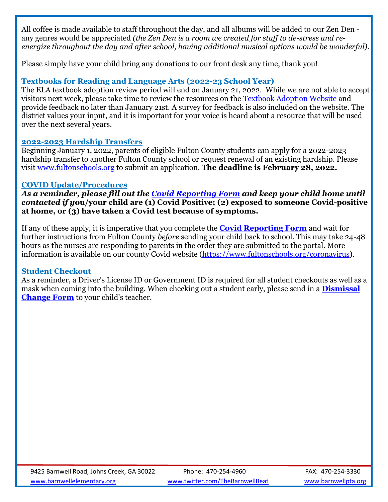All coffee is made available to staff throughout the day, and all albums will be added to our Zen Den any genres would be appreciated *(the Zen Den is a room we created for staff to de-stress and reenergize throughout the day and after school, having additional musical options would be wonderful)*.

Please simply have your child bring any donations to our front desk any time, thank you!

## **Textbooks for Reading and Language Arts (2022-23 School Year)**

The ELA textbook adoption review period will end on January 21, 2022. While we are not able to accept visitors next week, please take time to review the resources on the [Textbook Adoption Website](https://www.fultonschools.org/Page/22313) and provide feedback no later than January 21st. A survey for feedback is also included on the website. The district values your input, and it is important for your voice is heard about a resource that will be used over the next several years.

### **2022-2023 Hardship Transfers**

Beginning January 1, 2022, parents of eligible Fulton County students can apply for a 2022-2023 hardship transfer to another Fulton County school or request renewal of an existing hardship. Please visit [www.fultonschools.org](http://www.fultonschools.org/) to submit an application. **The deadline is February 28, 2022.**

### **COVID Update/Procedures**

*As a reminder, please fill out the [Covid Reporting Form](https://fultonschools.az1.qualtrics.com/jfe/form/SV_6hWlX46FNk8pNlz) and keep your child home until contacted if y***ou/your child are (1) Covid Positive; (2) exposed to someone Covid-positive at home, or (3) have taken a Covid test because of symptoms.** 

If any of these apply, it is imperative that you complete the **[Covid Reporting Form](https://nam11.safelinks.protection.outlook.com/?url=https%3A%2F%2Ffultonschools.az1.qualtrics.com%2Fjfe%2Fform%2FSV_6hWlX46FNk8pNlz&data=04%7C01%7Cneuhausm%40fultonschools.org%7C6051bb42e0ee4e68284508d963480a37%7C0cdcb19881694b70ba9fda7e3ba700c2%7C1%7C0%7C637649985440772524%7CUnknown%7CTWFpbGZsb3d8eyJWIjoiMC4wLjAwMDAiLCJQIjoiV2luMzIiLCJBTiI6Ik1haWwiLCJXVCI6Mn0%3D%7C1000&sdata=WLeI68R9QI0JteXXPmWlCqs6zqa3b5VEjEtValJkeQk%3D&reserved=0)** and wait for further instructions from Fulton County *before* sending your child back to school. This may take 24-48 hours as the nurses are responding to parents in the order they are submitted to the portal. More information is available on our county Covid website [\(https://www.fultonschools.org/coronavirus\)](https://www.fultonschools.org/coronavirus).

### **Student Checkout**

As a reminder, a Driver's License ID or Government ID is required for all student checkouts as well as a mask when coming into the building. When checking out a student early, please send in a **[Dismissal](https://www.fultonschools.org/cms/lib/GA50000114/Centricity/Domain/6071/Dismissal%20Change.pdf)  [Change Form](https://www.fultonschools.org/cms/lib/GA50000114/Centricity/Domain/6071/Dismissal%20Change.pdf)** to your child's teacher.